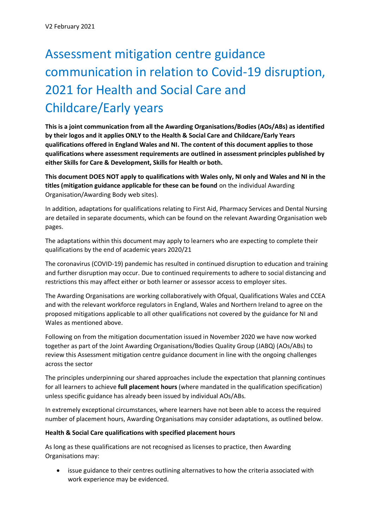# Assessment mitigation centre guidance communication in relation to Covid-19 disruption, 2021 for Health and Social Care and Childcare/Early years

**This is a joint communication from all the Awarding Organisations/Bodies (AOs/ABs) as identified by their logos and it applies ONLY to the Health & Social Care and Childcare/Early Years qualifications offered in England Wales and NI. The content of this document applies to those qualifications where assessment requirements are outlined in assessment principles published by either Skills for Care & Development, Skills for Health or both.**

**This document DOES NOT apply to qualifications with Wales only, NI only and Wales and NI in the titles (mitigation guidance applicable for these can be found** on the individual Awarding Organisation/Awarding Body web sites).

In addition, adaptations for qualifications relating to First Aid, Pharmacy Services and Dental Nursing are detailed in separate documents, which can be found on the relevant Awarding Organisation web pages.

The adaptations within this document may apply to learners who are expecting to complete their qualifications by the end of academic years 2020/21

The coronavirus (COVID-19) pandemic has resulted in continued disruption to education and training and further disruption may occur. Due to continued requirements to adhere to social distancing and restrictions this may affect either or both learner or assessor access to employer sites.

The Awarding Organisations are working collaboratively with Ofqual, Qualifications Wales and CCEA and with the relevant workforce regulators in England, Wales and Northern Ireland to agree on the proposed mitigations applicable to all other qualifications not covered by the guidance for NI and Wales as mentioned above.

Following on from the mitigation documentation issued in November 2020 we have now worked together as part of the Joint Awarding Organisations/Bodies Quality Group (JABQ) (AOs/ABs) to review this Assessment mitigation centre guidance document in line with the ongoing challenges across the sector

The principles underpinning our shared approaches include the expectation that planning continues for all learners to achieve **full placement hours** (where mandated in the qualification specification) unless specific guidance has already been issued by individual AOs/ABs.

In extremely exceptional circumstances, where learners have not been able to access the required number of placement hours, Awarding Organisations may consider adaptations, as outlined below.

# **Health & Social Care qualifications with specified placement hours**

As long as these qualifications are not recognised as licenses to practice, then Awarding Organisations may:

• issue guidance to their centres outlining alternatives to how the criteria associated with work experience may be evidenced.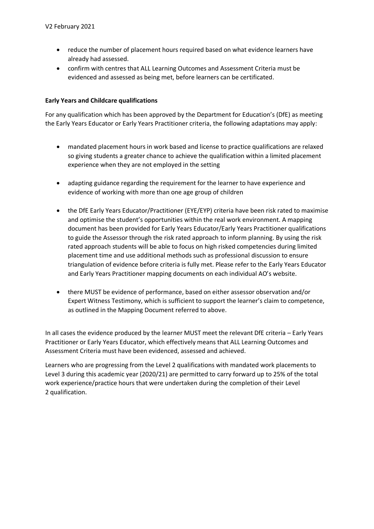- reduce the number of placement hours required based on what evidence learners have already had assessed.
- confirm with centres that ALL Learning Outcomes and Assessment Criteria must be evidenced and assessed as being met, before learners can be certificated.

## **Early Years and Childcare qualifications**

For any qualification which has been approved by the Department for Education's (DfE) as meeting the Early Years Educator or Early Years Practitioner criteria, the following adaptations may apply:

- mandated placement hours in work based and license to practice qualifications are relaxed so giving students a greater chance to achieve the qualification within a limited placement experience when they are not employed in the setting
- adapting guidance regarding the requirement for the learner to have experience and evidence of working with more than one age group of children
- the DfE Early Years Educator/Practitioner (EYE/EYP) criteria have been risk rated to maximise and optimise the student's opportunities within the real work environment. A mapping document has been provided for Early Years Educator/Early Years Practitioner qualifications to guide the Assessor through the risk rated approach to inform planning. By using the risk rated approach students will be able to focus on high risked competencies during limited placement time and use additional methods such as professional discussion to ensure triangulation of evidence before criteria is fully met. Please refer to the Early Years Educator and Early Years Practitioner mapping documents on each individual AO's website.
- there MUST be evidence of performance, based on either assessor observation and/or Expert Witness Testimony, which is sufficient to support the learner's claim to competence, as outlined in the Mapping Document referred to above.

In all cases the evidence produced by the learner MUST meet the relevant DfE criteria – Early Years Practitioner or Early Years Educator, which effectively means that ALL Learning Outcomes and Assessment Criteria must have been evidenced, assessed and achieved.

Learners who are progressing from the Level 2 qualifications with mandated work placements to Level 3 during this academic year (2020/21) are permitted to carry forward up to 25% of the total work experience/practice hours that were undertaken during the completion of their Level 2 qualification.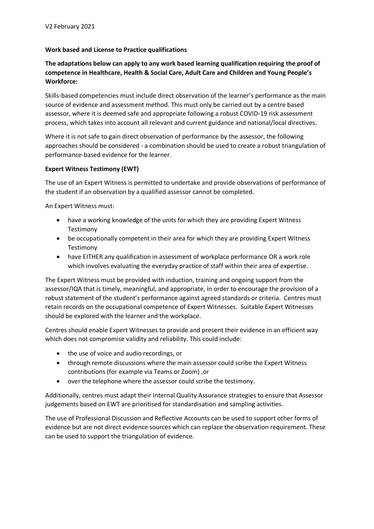## **Work based and License to Practice qualifications**

# **The adaptations below can apply to any work based learning qualification requiring the proof of competence in Healthcare, Health & Social Care, Adult Care and Children and Young People's Workforce:**

Skills-based competencies must include direct observation of the learner's performance as the main source of evidence and assessment method. This must only be carried out by a centre based assessor, where it is deemed safe and appropriate following a robust COVID-19 risk assessment process, which takes into account all relevant and current guidance and national/local directives.

Where it is not safe to gain direct observation of performance by the assessor, the following approaches should be considered - a combination should be used to create a robust triangulation of performance-based evidence for the learner.

#### **Expert Witness Testimony (EWT)**

The use of an Expert Witness is permitted to undertake and provide observations of performance of the student if an observation by a qualified assessor cannot be completed.

An Expert Witness must:

- have a working knowledge of the units for which they are providing Expert Witness Testimony
- be occupationally competent in their area for which they are providing Expert Witness Testimony
- have EITHER any qualification in assessment of workplace performance OR a work role which involves evaluating the everyday practice of staff within their area of expertise.

The Expert Witness must be provided with induction, training and ongoing support from the assessor/IQA that is timely, meaningful, and appropriate, in order to encourage the provision of a robust statement of the student's performance against agreed standards or criteria. Centres must retain records on the occupational competence of Expert Witnesses. Suitable Expert Witnesses should be explored with the learner and the workplace.

Centres should enable Expert Witnesses to provide and present their evidence in an efficient way which does not compromise validity and reliability. This could include:

- the use of voice and audio recordings, or
- through remote discussions where the main assessor could scribe the Expert Witness contributions (for example via Teams or Zoom) ,or
- over the telephone where the assessor could scribe the testimony.

Additionally, centres must adapt their Internal Quality Assurance strategies to ensure that Assessor judgements based on EWT are prioritised for standardisation and sampling activities.

The use of Professional Discussion and Reflective Accounts can be used to support other forms of evidence but are not direct evidence sources which can replace the observation requirement. These can be used to support the triangulation of evidence.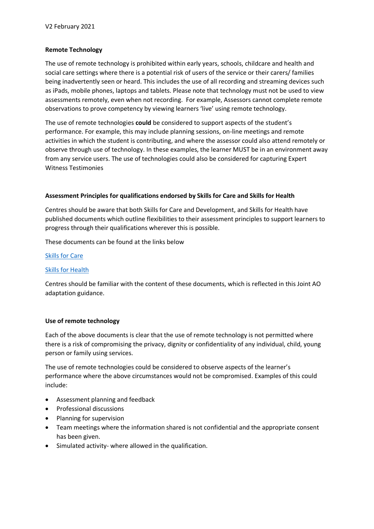## **Remote Technology**

The use of remote technology is prohibited within early years, schools, childcare and health and social care settings where there is a potential risk of users of the service or their carers/ families being inadvertently seen or heard. This includes the use of all recording and streaming devices such as iPads, mobile phones, laptops and tablets. Please note that technology must not be used to view assessments remotely, even when not recording. For example, Assessors cannot complete remote observations to prove competency by viewing learners 'live' using remote technology.

The use of remote technologies **could** be considered to support aspects of the student's performance. For example, this may include planning sessions, on-line meetings and remote activities in which the student is contributing, and where the assessor could also attend remotely or observe through use of technology. In these examples, the learner MUST be in an environment away from any service users. The use of technologies could also be considered for capturing Expert Witness Testimonies

#### **Assessment Principles for qualifications endorsed by Skills for Care and Skills for Health**

Centres should be aware that both Skills for Care and Development, and Skills for Health have published documents which outline flexibilities to their assessment principles to support learners to progress through their qualifications wherever this is possible.

These documents can be found at the links below

#### [Skills for Care](https://skillsforcareanddevelopment.org.uk/wp-content/uploads/2020/08/Adaptions-to-Assessment-Principles-Covid-19.pdf)

#### [Skills for Health](https://www.skillsforhealth.org.uk/images/standards/qcf/Skills%20for%20Health%20assessment%20principles%20-%20flexibilitites%20Sept%202020.pdf)

Centres should be familiar with the content of these documents, which is reflected in this Joint AO adaptation guidance.

#### **Use of remote technology**

Each of the above documents is clear that the use of remote technology is not permitted where there is a risk of compromising the privacy, dignity or confidentiality of any individual, child, young person or family using services.

The use of remote technologies could be considered to observe aspects of the learner's performance where the above circumstances would not be compromised. Examples of this could include:

- Assessment planning and feedback
- Professional discussions
- Planning for supervision
- Team meetings where the information shared is not confidential and the appropriate consent has been given.
- Simulated activity- where allowed in the qualification.